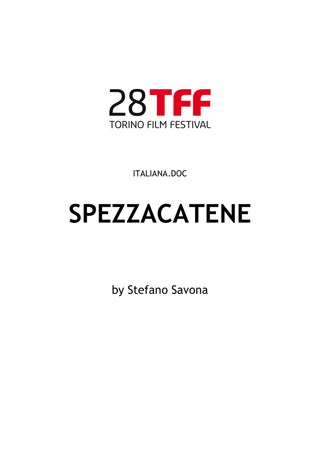

ITALIANA.DOC

# **SPEZZACATENE**

by Stefano Savona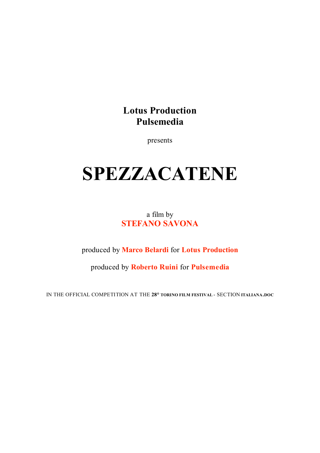## **Lotus Production Pulsemedia**

presents

# **SPEZZACATENE**

a film by **STEFANO SAVONA**

produced by **Marco Belardi** for **Lotus Production**

produced by **Roberto Ruini** for **Pulsemedia**

IN THE OFFICIAL COMPETITION AT THE **28° TORINO FILM FESTIVAL** - SECTION **ITALIANA.DOC**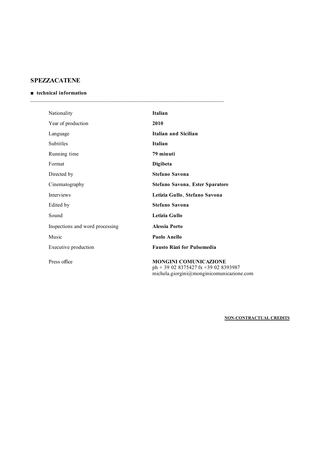### **SPEZZACATENE**

#### ■ **technical information**

| Nationality                     | <b>Italian</b>                                                           |
|---------------------------------|--------------------------------------------------------------------------|
| Year of production              | 2010                                                                     |
| Language                        | <b>Italian and Sicilian</b>                                              |
| Subtitles                       | <b>Italian</b>                                                           |
| Running time                    | 79 minuti                                                                |
| Format                          | Digibeta                                                                 |
| Directed by                     | <b>Stefano Savona</b>                                                    |
| Cinematography                  | Stefano Savona, Ester Sparatore                                          |
| <b>Interviews</b>               | Letizia Gullo, Stefano Savona                                            |
| Edited by                       | <b>Stefano Savona</b>                                                    |
| Sound                           | Letizia Gullo                                                            |
| Inspections and word processing | Alessia Porto                                                            |
| Music                           | Paolo Anello                                                             |
| Executive production            | <b>Fausto Rizzi for Pulsemedia</b>                                       |
| Press office                    | <b>MONGINI COMUNICAZIONE</b><br>$ph + 30.02.8375427$ fr $+30.02.8393087$ |

ph + 39 02 8375427 fx +39 02 8393987 michela.giorgini@monginicomunicazione.com

**NON-CONTRACTUAL CREDITS**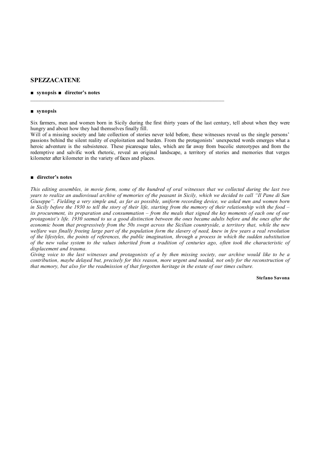#### **SPEZZACATENE**

#### **■ synopsis ■ director's notes**

#### ■ **synopsis**

Six farmers, men and women born in Sicily during the first thirty years of the last century, tell about when they were hungry and about how they had themselves finally fill.

 $\mathcal{L}_\text{max}$ 

Will of a missing society and late collection of stories never told before, these witnesses reveal us the single persons' passions behind the silent reality of exploitation and burden. From the protagonists' unexpected words emerges what a heroic adventure is the subsistence. These picaresque tales, which are far away from bucolic stereotypes and from the redemptive and salvific work rhetoric, reveal an original landscape, a territory of stories and memories that verges kilometer after kilometer in the variety of faces and places.

#### **■ director's notes**

*This editing assembles, in movie form, some of the hundred of oral witnesses that we collected during the last two years to realize an audiovisual archive of memories of the peasant in Sicily, which we decided to call "Il Pane di San Giuseppe". Fielding a very simple and, as far as possible, uniform recording device, we asked men and women born in Sicily before the 1930 to tell the story of their life, starting from the memory of their relationship with the food – its procurement, its preparation and consummation – from the meals that signed the key moments of each one of our protagonist's life. 1930 seemed to us a good distinction between the ones became adults before and the ones after the economic boom that progressively from the 50s swept across the Sicilian countryside, a territory that, while the new welfare was finally freeing large part of the population form the slavery of need, knew in few years a real revolution of the lifestyles, the points of references, the public imagination, through a process in which the sudden substitution of the new value system to the values inherited from a tradition of centuries ago, often took the characteristic of displacement and trauma.*

*Giving voice to the last witnesses and protagonists of a by then missing society, our archive would like to be a contribution, maybe delayed but, precisely for this reason, more urgent and needed, not only for the reconstruction of that memory, but also for the readmission of that forgotten heritage in the estate of our times culture.*

#### **Stefano Savona**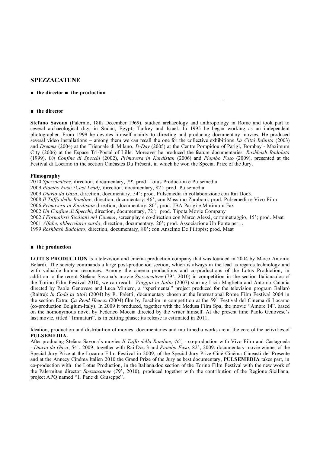#### **SPEZZACATENE**

#### ■ **the director ■ the production**

#### ■ **the director**

**Stefano Savona** (Palermo, 18th December 1969), studied archaeology and anthropology in Rome and took part to several archaeological digs in Sudan, Egypt, Turkey and Israel. In 1995 he began working as an independent photographer. From 1999 he devotes himself mainly to directing and producing documentary movies. He produced several video installations – among them we can recall the one for the collective exhibitions *La Città Infinita* (2003) and *Dreams* (2004) at the Triennale di Milano, *D-Day* (2005) at the Centre Pompidou of Parigi, Bombay - Maximum City (2006) at the Espace Tri-Postal of Lille. Moreover he produced the feature documentaries: *Roshbash Badolato* (1999), *Un Confine di Specchi* (2002), *Primavera in Kurdistan* (2006) and *Piombo Fuso* (2009), presented at the Festival di Locarno in the section Cinéastes Du Présent, in which he won the Special Prize of the Jury.

#### **Filmography**

2010 *Spezzacatene*, direction, documentary, 79', prod. Lotus Production e Pulsemedia

 $\mathcal{L}_\text{max}$ 

2009 *Piombo Fuso (Cast Lead),* direction, documentary, 82'; prod. Pulsemedia

2009 *Diario da Gaza*, direction, documentary, 54'; prod. Pulsemedia in collaborazione con Rai Doc3.

2008 *Il Tuffo della Rondine*, direction, documentary, 46'; con Massimo Zamboni; prod. Pulsemedia e Vivo Film

2006 *Primavera in Kurdistan* direction, documentary, 80'; prod. JBA Parigi e Minimum Fax

2002 *Un Confine di Specchi*, direction, documentary, 72'; prod. Tìpota Movie Company

2002 *I Formalisti Siciliani nel Cinema*, screenplay e co-direction con Marco Alessi, cortometraggio, 15'; prod. Maat

2001 *Alfabe*, *abbecedario curdo*, direction, documentary, 20'; prod. Associazione Un Ponte per…

1999 *Roshbash Badolato*, direction, documentary, 80'; con Anselmo De Filippis; prod. Maat

#### ■ **the production**

**LOTUS PRODUCTION** is a television and cinema production company that was founded in 2004 by Marco Antonio Belardi. The society commands a large post-production section, which is always in the lead as regards technology and with valuable human resources. Among the cinema productions and co-productions of the Lotus Production, in addition to the recent Stefano Savona's movie *Spezzacatene* (79', 2010) in competition in the section Italiana.doc of the Torino Film Festival 2010, we can recall: *Viaggio in Italia* (2007) starring Licia Maglietta and Antonio Catania directed by Paolo Genovese and Luca Miniero, a "sperimental" project produced for the television program Ballarò (Raitre): *In Coda ai titoli* (2004) by R. Paletti, documentary chosen at the International Rome Film Festival 2004 in the section Extra; *Ca Rend Heueux* (2004) film by Joachim in competition at the 59<sup>th</sup> Festival del Cinema di Locarno (co-production Belgium-Italy). In 2009 it produced, together with the Medusa Film Spa, the movie "Amore 14", based on the homonymous novel by Federico Moccia directed by the writer himself. At the present time Paolo Genovese's last movie, titled "Immaturi", is in editing phase; its release is estimated in 2011.

Ideation, production and distribution of movies, documentaries and multimedia works are at the core of the activities of **PULSEMEDIA.**

After producing Stefano Savona's movies *Il Tuffo della Rondine, 46', -* co-production with Vivo Film and Castagneda - *Diario da Gaza*, 54', 2009, together with Rai Doc 3 and *Piombo Fuso*, 82', 2009, documentary movie winner of the Special Jury Prize at the Locarno Film Festival in 2009, of the Special Jury Prize Ciné Cinéma Cineasti del Presente and at the Annecy Cinéma Italien 2010 the Grand Prize of the Jury as best documentary, **PULSEMEDIA** takes part, in co-production with the Lotus Production, in the Italiana.doc section of the Torino Film Festival with the new work of the Palermitan director *Spezzacatene* (79', 2010), produced together with the contribution of the Regione Siciliana, project APQ named "Il Pane di Giuseppe".